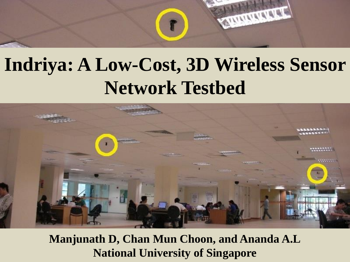

#### **Indriya: A Low-Cost, 3D Wireless Sensor Network Testbed**



**Manjunath D, Chan Mun Choon, and Ananda A.L National University of Singapore**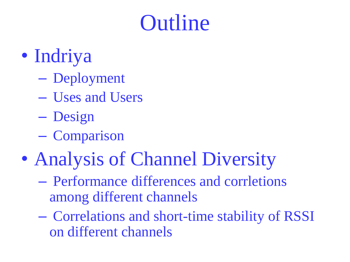### **Outline**

- Indriya
	- Deployment
	- Uses and Users
	- Design
	- Comparison
- Analysis of Channel Diversity
	- Performance differences and corrletions among different channels
	- Correlations and short-time stability of RSSI on different channels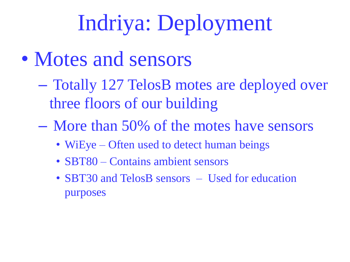# Indriya: Deployment

- Motes and sensors
	- Totally 127 TelosB motes are deployed over three floors of our building
	- More than 50% of the motes have sensors
		- WiEye Often used to detect human beings
		- SBT80 Contains ambient sensors
		- SBT30 and TelosB sensors Used for education purposes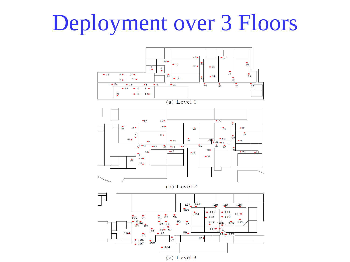# Deployment over 3 Floors

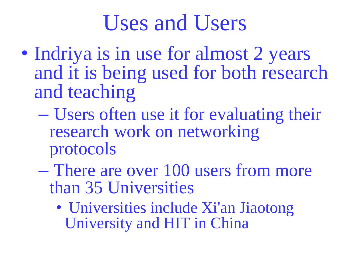#### Uses and Users

- Indriya is in use for almost 2 years and it is being used for both research and teaching
	- Users often use it for evaluating their research work on networking protocols
	- There are over 100 users from more than 35 Universities
		- Universities include Xi'an Jiaotong University and HIT in China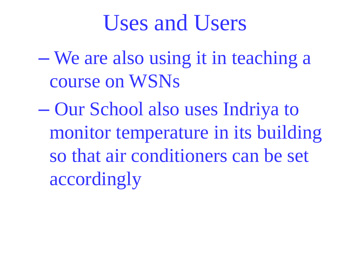#### Uses and Users

- We are also using it in teaching a course on WSNs
- Our School also uses Indriya to monitor temperature in its building so that air conditioners can be set accordingly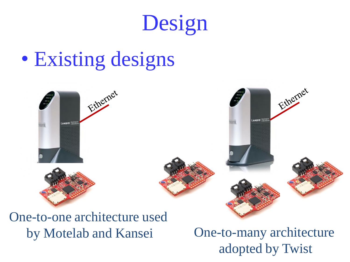

#### • Existing designs



One-to-one architecture used

by Motelab and Kansei One-to-many architecture adopted by Twist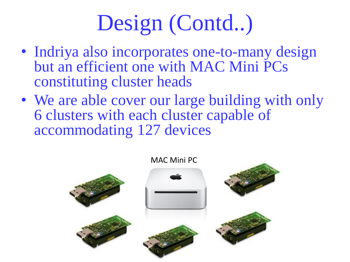# Design (Contd..)

- Indriya also incorporates one-to-many design but an efficient one with MAC Mini PCs constituting cluster heads
- We are able cover our large building with only 6 clusters with each cluster capable of accommodating 127 devices

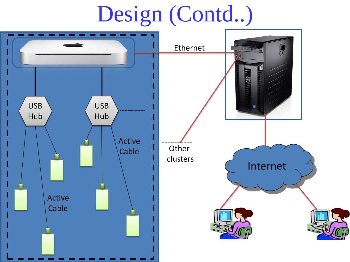# Design (Contd..)

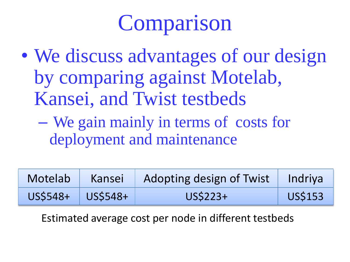# Comparison

- We discuss advantages of our design by comparing against Motelab, Kansei, and Twist testbeds
	- We gain mainly in terms of costs for deployment and maintenance

| Motelab  | Kansei   | Adopting design of Twist   Indriya |                |
|----------|----------|------------------------------------|----------------|
| US\$548+ | US\$548+ | US\$223+                           | <b>US\$153</b> |

Estimated average cost per node in different testbeds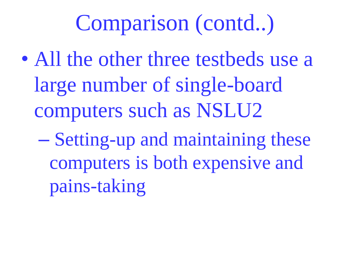- All the other three testbeds use a large number of single-board computers such as NSLU2
	- Setting-up and maintaining these computers is both expensive and pains-taking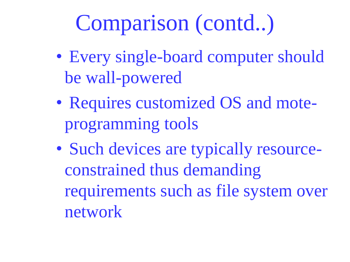- Every single-board computer should be wall-powered
- Requires customized OS and moteprogramming tools
- Such devices are typically resourceconstrained thus demanding requirements such as file system over network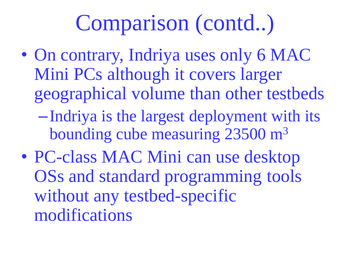- On contrary, Indriya uses only 6 MAC Mini PCs although it covers larger geographical volume than other testbeds –Indriya is the largest deployment with its bounding cube measuring 23500 m<sup>3</sup>
- PC-class MAC Mini can use desktop OSs and standard programming tools without any testbed-specific modifications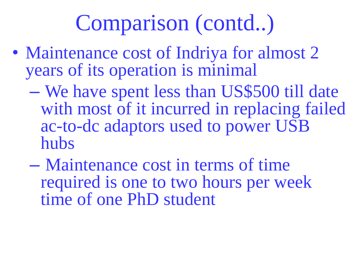- Maintenance cost of Indriya for almost 2 years of its operation is minimal
	- We have spent less than US\$500 till date with most of it incurred in replacing failed ac-to-dc adaptors used to power USB hubs
	- Maintenance cost in terms of time required is one to two hours per week time of one PhD student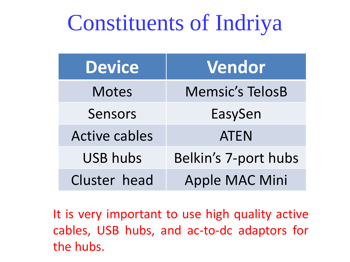#### Constituents of Indriya

| <b>Device</b>        | Vendor                 |  |  |  |  |  |  |
|----------------------|------------------------|--|--|--|--|--|--|
| <b>Motes</b>         | <b>Memsic's TelosB</b> |  |  |  |  |  |  |
| Sensors              | EasySen                |  |  |  |  |  |  |
| <b>Active cables</b> | <b>ATEN</b>            |  |  |  |  |  |  |
| <b>USB hubs</b>      | Belkin's 7-port hubs   |  |  |  |  |  |  |
| Cluster head         | Apple MAC Mini         |  |  |  |  |  |  |

It is very important to use high quality active cables, USB hubs, and ac-to-dc adaptors for the hubs.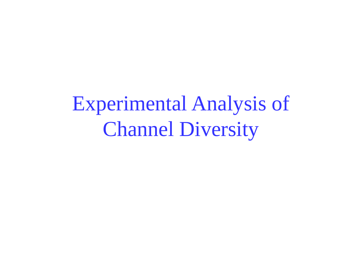Experimental Analysis of Channel Diversity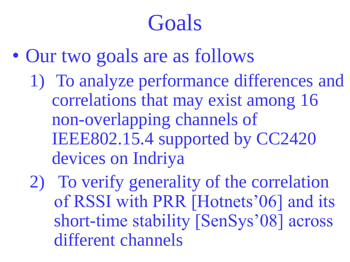### Goals

- Our two goals are as follows 1) To analyze performance differences and correlations that may exist among 16 non-overlapping channels of IEEE802.15.4 supported by CC2420 devices on Indriya
	- 2) To verify generality of the correlation of RSSI with PRR [Hotnets'06] and its short-time stability [SenSys'08] across different channels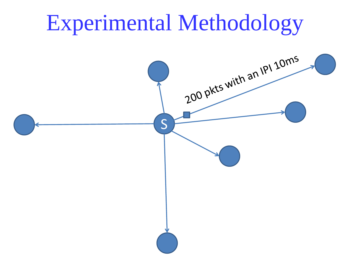# Experimental Methodology

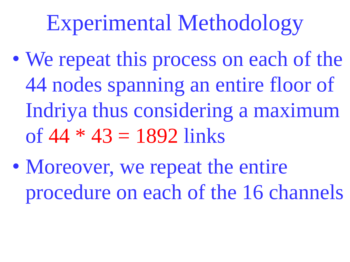# Experimental Methodology

- We repeat this process on each of the 44 nodes spanning an entire floor of Indriya thus considering a maximum of  $44 * 43 = 1892$  links
- Moreover, we repeat the entire procedure on each of the 16 channels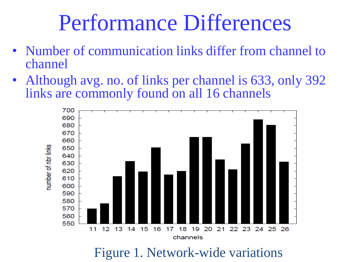#### Performance Differences

- Number of communication links differ from channel to channel
- Although avg. no. of links per channel is 633, only 392 links are commonly found on all 16 channels

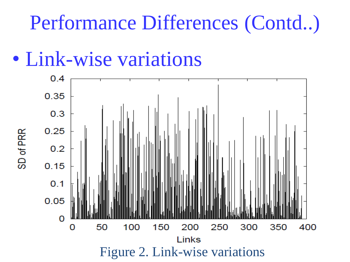#### Performance Differences (Contd..)

• Link-wise variations

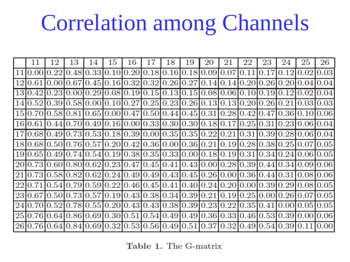### Correlation among Channels

|    | 12 | 13 | 14                                                                                 | 15 | 16 | 17 | 18 | 19 | 20 | 21              | 22 | 23 | 24   | 25             | 26   |
|----|----|----|------------------------------------------------------------------------------------|----|----|----|----|----|----|-----------------|----|----|------|----------------|------|
|    |    |    | 11 0.00 0.22 0.48 0.33 0.10 0.20 0.18 0.16 0.18 0.09 0.07 0.11 0.17                |    |    |    |    |    |    |                 |    |    |      | 0.1210.0210.03 |      |
|    |    |    | 0.61 0.00 0.67 0.45 0.16 0.32 0.32 0.26 0.27 0.14 0.14 0.20 0.26 0.20              |    |    |    |    |    |    |                 |    |    |      | 0.04           | 0.04 |
|    |    |    | 130.420.230.000.290.080.190.150.130.150.080.060.100.190.12                         |    |    |    |    |    |    |                 |    |    |      | 0.02           | 0.04 |
|    |    |    | 14 0.52 0.39 0.58 0.00 0.10 0.27 0.25 0.23 0.26 0.13 0.13 0.20 0.26 0.21 0.03 0.03 |    |    |    |    |    |    |                 |    |    |      |                |      |
|    |    |    | 15 0.70 0.58 0.81 0.65 0.00 0.47 0.50 0.44 0.45 0.31 0.28 0.42 0.47 0.36 0.10 0.06 |    |    |    |    |    |    |                 |    |    |      |                |      |
|    |    |    | 16 0.61 0.44 0.70 0.49 0.16 0.00 0.33 0.30 0.30 0.18 0.17 0.25 0.31 0.23 0.06 0.04 |    |    |    |    |    |    |                 |    |    |      |                |      |
|    |    |    | 17 0.68 0.49 0.73 0.53 0.18 0.39 0.00 0.35 0.35 0.22 0.21 0.31 0.39 0.28 0.06 0.04 |    |    |    |    |    |    |                 |    |    |      |                |      |
|    |    |    | 18 0.68 0.50 0.76 0.57 0.20 0.42 0.36 0.00 0.36 0.21 0.19 0.28 0.38 0.25 0.07 0.05 |    |    |    |    |    |    |                 |    |    |      |                |      |
|    |    |    | 19 0.65 0.49 0.74 0.54 0.19 0.38 0.35 0.33 0.00 0.18 0.19 0.31 0.34 0.24 0.06 0.05 |    |    |    |    |    |    |                 |    |    |      |                |      |
|    |    |    | 20 0.73 0.60 0.80 0.62 0.23 0.47 0.45 0.41 0.43 0.00 0.28 0.39 0.44 0.34 0.09 0.06 |    |    |    |    |    |    |                 |    |    |      |                |      |
| 21 |    |    | 0.73 0.58 0.82 0.62 0.24 0.49 0.49 0.43 0.45 0.26 0.00 0.36 0.44 0.31 0.08 0.06    |    |    |    |    |    |    |                 |    |    |      |                |      |
|    |    |    | 22 0.71 0.54 0.79 0.59 0.22 0.46 0.45 0.41 0.40 0.24 0.20 0.00 0.39 0.29 0.08 0.05 |    |    |    |    |    |    |                 |    |    |      |                |      |
|    |    |    | 23 0.67 0.50 0.73 0.57 0.19 0.43 0.38 0.34 0.39 0.21 0.19 0.25 0.00 0.26 0.07 0.05 |    |    |    |    |    |    |                 |    |    |      |                |      |
|    |    |    | 24 0.70 0.52 0.78 0.55 0.20 0.43 0.43 0.38 0.39 0.23 0.22 0.35 0.41 0.00 0.05 0.05 |    |    |    |    |    |    |                 |    |    |      |                |      |
|    |    |    | 25 0.76 0.64 0.86 0.69 0.30 0.51 0.54 0.49 0.49 0.36 0.33 0.46 0.53 0.39 0.00 0.06 |    |    |    |    |    |    |                 |    |    |      |                |      |
| 26 |    |    | $0.64 0.84 0.69 0.32 0.53 0.56 0.49 0.51 0.37$                                     |    |    |    |    |    |    | [0.32]0.49]0.54 |    |    | 0.39 |                |      |

Table 1. The G-matrix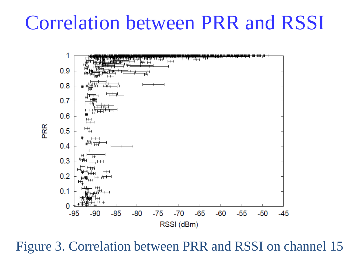#### Correlation between PRR and RSSI



Figure 3. Correlation between PRR and RSSI on channel 15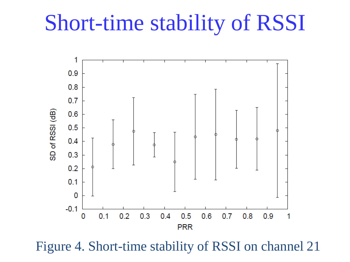#### Short-time stability of RSSI



Figure 4. Short-time stability of RSSI on channel 21